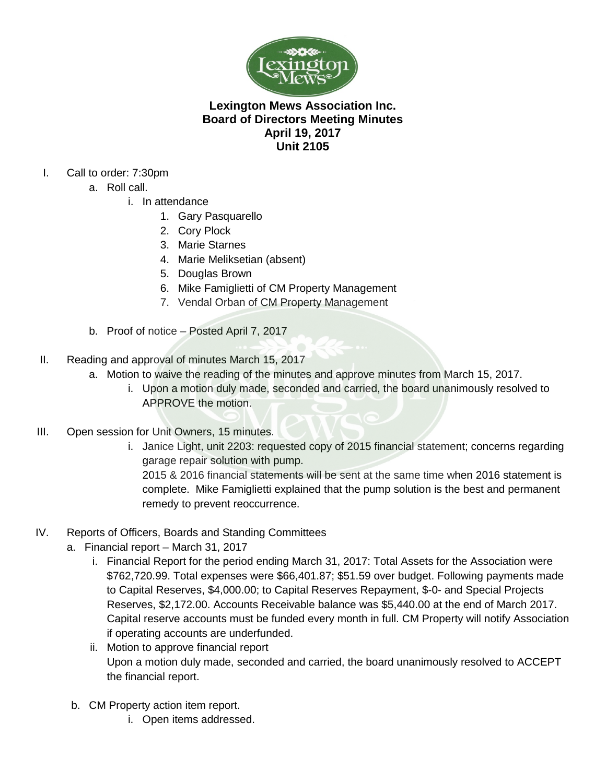

# **Lexington Mews Association Inc. Board of Directors Meeting Minutes April 19, 2017 Unit 2105**

- I. Call to order: 7:30pm
	- a. Roll call.
		- i. In attendance
			- 1. Gary Pasquarello
			- 2. Cory Plock
			- 3. Marie Starnes
			- 4. Marie Meliksetian (absent)
			- 5. Douglas Brown
			- 6. Mike Famiglietti of CM Property Management
			- 7. Vendal Orban of CM Property Management
	- b. Proof of notice Posted April 7, 2017
- II. Reading and approval of minutes March 15, 2017
	- a. Motion to waive the reading of the minutes and approve minutes from March 15, 2017.
		- i. Upon a motion duly made, seconded and carried, the board unanimously resolved to APPROVE the motion.
- III. Open session for Unit Owners, 15 minutes.
	- i. Janice Light, unit 2203: requested copy of 2015 financial statement; concerns regarding garage repair solution with pump.

2015 & 2016 financial statements will be sent at the same time when 2016 statement is complete. Mike Famiglietti explained that the pump solution is the best and permanent remedy to prevent reoccurrence.

- IV. Reports of Officers, Boards and Standing Committees
	- a. Financial report March 31, 2017
		- i. Financial Report for the period ending March 31, 2017: Total Assets for the Association were \$762,720.99. Total expenses were \$66,401.87; \$51.59 over budget. Following payments made to Capital Reserves, \$4,000.00; to Capital Reserves Repayment, \$-0- and Special Projects Reserves, \$2,172.00. Accounts Receivable balance was \$5,440.00 at the end of March 2017. Capital reserve accounts must be funded every month in full. CM Property will notify Association if operating accounts are underfunded.
		- ii. Motion to approve financial report Upon a motion duly made, seconded and carried, the board unanimously resolved to ACCEPT the financial report.
	- b. CM Property action item report.
		- i. Open items addressed.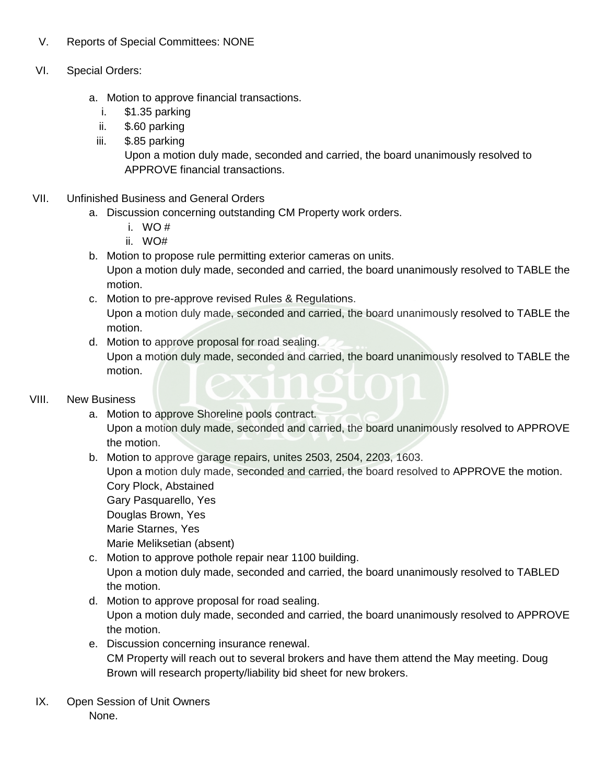### V. Reports of Special Committees: NONE

### VI. Special Orders:

- a. Motion to approve financial transactions.
	- i. \$1.35 parking
	- ii. \$.60 parking
	- iii. \$.85 parking

Upon a motion duly made, seconded and carried, the board unanimously resolved to APPROVE financial transactions.

#### VII. Unfinished Business and General Orders

- a. Discussion concerning outstanding CM Property work orders.
	- i. WO #
	- ii. WO#
- b. Motion to propose rule permitting exterior cameras on units.

Upon a motion duly made, seconded and carried, the board unanimously resolved to TABLE the motion.

- c. Motion to pre-approve revised Rules & Regulations. Upon a motion duly made, seconded and carried, the board unanimously resolved to TABLE the motion.
- d. Motion to approve proposal for road sealing. Upon a motion duly made, seconded and carried, the board unanimously resolved to TABLE the motion.

## VIII. New Business

- a. Motion to approve Shoreline pools contract. Upon a motion duly made, seconded and carried, the board unanimously resolved to APPROVE the motion.
- b. Motion to approve garage repairs, unites 2503, 2504, 2203, 1603. Upon a motion duly made, seconded and carried, the board resolved to APPROVE the motion. Cory Plock, Abstained Gary Pasquarello, Yes Douglas Brown, Yes Marie Starnes, Yes

Marie Meliksetian (absent)

- c. Motion to approve pothole repair near 1100 building. Upon a motion duly made, seconded and carried, the board unanimously resolved to TABLED the motion.
- d. Motion to approve proposal for road sealing. Upon a motion duly made, seconded and carried, the board unanimously resolved to APPROVE the motion.
- e. Discussion concerning insurance renewal. CM Property will reach out to several brokers and have them attend the May meeting. Doug Brown will research property/liability bid sheet for new brokers.
- IX. Open Session of Unit Owners None.